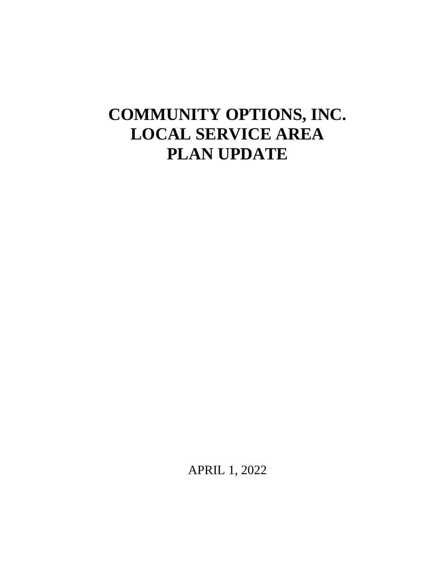# **COMMUNITY OPTIONS, INC. LOCAL SERVICE AREA PLAN UPDATE**

APRIL 1, 2022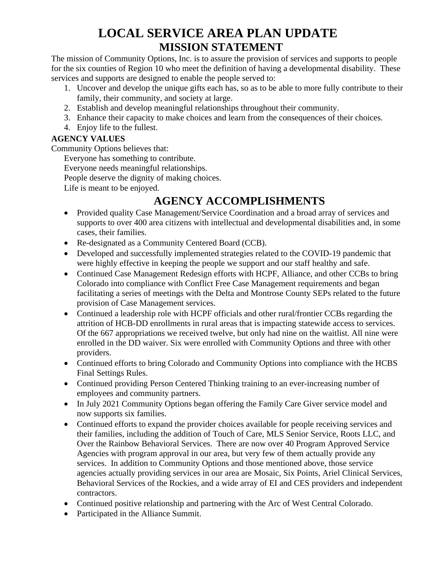# **LOCAL SERVICE AREA PLAN UPDATE MISSION STATEMENT**

The mission of Community Options, Inc. is to assure the provision of services and supports to people for the six counties of Region 10 who meet the definition of having a developmental disability. These services and supports are designed to enable the people served to:

- 1. Uncover and develop the unique gifts each has, so as to be able to more fully contribute to their family, their community, and society at large.
- 2. Establish and develop meaningful relationships throughout their community.
- 3. Enhance their capacity to make choices and learn from the consequences of their choices.
- 4. Enjoy life to the fullest.

#### **AGENCY VALUES**

Community Options believes that:

Everyone has something to contribute.

Everyone needs meaningful relationships.

People deserve the dignity of making choices.

Life is meant to be enjoyed.

## **AGENCY ACCOMPLISHMENTS**

- Provided quality Case Management/Service Coordination and a broad array of services and supports to over 400 area citizens with intellectual and developmental disabilities and, in some cases, their families.
- Re-designated as a Community Centered Board (CCB).
- Developed and successfully implemented strategies related to the COVID-19 pandemic that were highly effective in keeping the people we support and our staff healthy and safe.
- Continued Case Management Redesign efforts with HCPF, Alliance, and other CCBs to bring Colorado into compliance with Conflict Free Case Management requirements and began facilitating a series of meetings with the Delta and Montrose County SEPs related to the future provision of Case Management services.
- Continued a leadership role with HCPF officials and other rural/frontier CCBs regarding the attrition of HCB-DD enrollments in rural areas that is impacting statewide access to services. Of the 667 appropriations we received twelve, but only had nine on the waitlist. All nine were enrolled in the DD waiver. Six were enrolled with Community Options and three with other providers.
- Continued efforts to bring Colorado and Community Options into compliance with the HCBS Final Settings Rules.
- Continued providing Person Centered Thinking training to an ever-increasing number of employees and community partners.
- In July 2021 Community Options began offering the Family Care Giver service model and now supports six families.
- Continued efforts to expand the provider choices available for people receiving services and their families, including the addition of Touch of Care, MLS Senior Service, Roots LLC, and Over the Rainbow Behavioral Services. There are now over 40 Program Approved Service Agencies with program approval in our area, but very few of them actually provide any services. In addition to Community Options and those mentioned above, those service agencies actually providing services in our area are Mosaic, Six Points, Ariel Clinical Services, Behavioral Services of the Rockies, and a wide array of EI and CES providers and independent contractors.
- Continued positive relationship and partnering with the Arc of West Central Colorado.
- Participated in the Alliance Summit.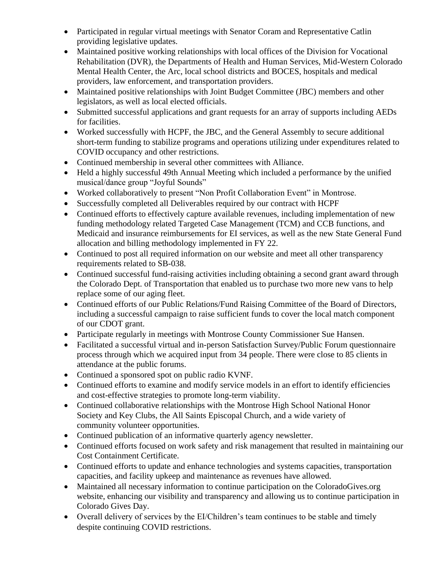- Participated in regular virtual meetings with Senator Coram and Representative Catlin providing legislative updates.
- Maintained positive working relationships with local offices of the Division for Vocational Rehabilitation (DVR), the Departments of Health and Human Services, Mid-Western Colorado Mental Health Center, the Arc, local school districts and BOCES, hospitals and medical providers, law enforcement, and transportation providers.
- Maintained positive relationships with Joint Budget Committee (JBC) members and other legislators, as well as local elected officials.
- Submitted successful applications and grant requests for an array of supports including AEDs for facilities.
- Worked successfully with HCPF, the JBC, and the General Assembly to secure additional short-term funding to stabilize programs and operations utilizing under expenditures related to COVID occupancy and other restrictions.
- Continued membership in several other committees with Alliance.
- Held a highly successful 49th Annual Meeting which included a performance by the unified musical/dance group "Joyful Sounds"
- Worked collaboratively to present "Non Profit Collaboration Event" in Montrose.
- Successfully completed all Deliverables required by our contract with HCPF
- Continued efforts to effectively capture available revenues, including implementation of new funding methodology related Targeted Case Management (TCM) and CCB functions, and Medicaid and insurance reimbursements for EI services, as well as the new State General Fund allocation and billing methodology implemented in FY 22.
- Continued to post all required information on our website and meet all other transparency requirements related to SB-038.
- Continued successful fund-raising activities including obtaining a second grant award through the Colorado Dept. of Transportation that enabled us to purchase two more new vans to help replace some of our aging fleet.
- Continued efforts of our Public Relations/Fund Raising Committee of the Board of Directors, including a successful campaign to raise sufficient funds to cover the local match component of our CDOT grant.
- Participate regularly in meetings with Montrose County Commissioner Sue Hansen.
- Facilitated a successful virtual and in-person Satisfaction Survey/Public Forum questionnaire process through which we acquired input from 34 people. There were close to 85 clients in attendance at the public forums.
- Continued a sponsored spot on public radio KVNF.
- Continued efforts to examine and modify service models in an effort to identify efficiencies and cost-effective strategies to promote long-term viability.
- Continued collaborative relationships with the Montrose High School National Honor Society and Key Clubs, the All Saints Episcopal Church, and a wide variety of community volunteer opportunities.
- Continued publication of an informative quarterly agency newsletter.
- Continued efforts focused on work safety and risk management that resulted in maintaining our Cost Containment Certificate.
- Continued efforts to update and enhance technologies and systems capacities, transportation capacities, and facility upkeep and maintenance as revenues have allowed.
- Maintained all necessary information to continue participation on the ColoradoGives.org website, enhancing our visibility and transparency and allowing us to continue participation in Colorado Gives Day.
- Overall delivery of services by the EI/Children's team continues to be stable and timely despite continuing COVID restrictions.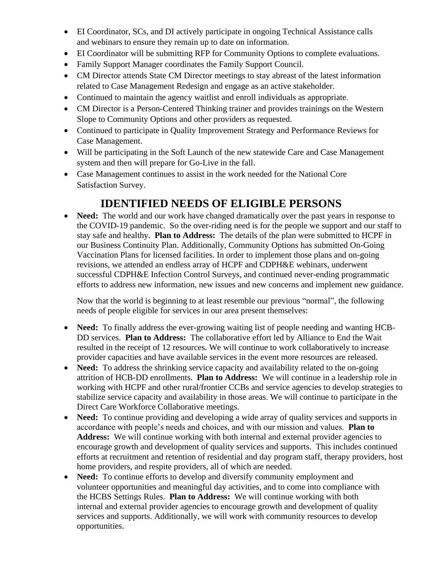- EI Coordinator, SCs, and DI actively participate in ongoing Technical Assistance calls and webinars to ensure they remain up to date on information.
- EI Coordinator will be submitting RFP for Community Options to complete evaluations.
- Family Support Manager coordinates the Family Support Council.
- CM Director attends State CM Director meetings to stay abreast of the latest information related to Case Management Redesign and engage as an active stakeholder.
- Continued to maintain the agency waitlist and enroll individuals as appropriate.
- CM Director is a Person-Centered Thinking trainer and provides trainings on the Western Slope to Community Options and other providers as requested.
- Continued to participate in Quality Improvement Strategy and Performance Reviews for Case Management.
- Will be participating in the Soft Launch of the new statewide Care and Case Management system and then will prepare for Go-Live in the fall.
- Case Management continues to assist in the work needed for the National Core Satisfaction Survey.

### **IDENTIFIED NEEDS OF ELIGIBLE PERSONS**

• **Need:** The world and our work have changed dramatically over the past years in response to the COVID-19 pandemic. So the over-riding need is for the people we support and our staff to stay safe and healthy. **Plan to Address:** The details of the plan were submitted to HCPF in our Business Continuity Plan. Additionally, Community Options has submitted On-Going Vaccination Plans for licensed facilities. In order to implement those plans and on-going revisions, we attended an endless array of HCPF and CDPH&E webinars, underwent successful CDPH&E Infection Control Surveys, and continued never-ending programmatic efforts to address new information, new issues and new concerns and implement new guidance.

Now that the world is beginning to at least resemble our previous "normal", the following needs of people eligible for services in our area present themselves:

- **Need:** To finally address the ever-growing waiting list of people needing and wanting HCB-DD services. **Plan to Address:** The collaborative effort led by Alliance to End the Wait resulted in the receipt of 12 resources. We will continue to work collaboratively to increase provider capacities and have available services in the event more resources are released.
- Need: To address the shrinking service capacity and availability related to the on-going attrition of HCB-DD enrollments. **Plan to Address:** We will continue in a leadership role in working with HCPF and other rural/frontier CCBs and service agencies to develop strategies to stabilize service capacity and availability in those areas. We will continue to participate in the Direct Care Workforce Collaborative meetings.
- **Need:** To continue providing and developing a wide array of quality services and supports in accordance with people's needs and choices, and with our mission and values. **Plan to**  Address: We will continue working with both internal and external provider agencies to encourage growth and development of quality services and supports. This includes continued efforts at recruitment and retention of residential and day program staff, therapy providers, host home providers, and respite providers, all of which are needed.
- **Need:** To continue efforts to develop and diversify community employment and volunteer opportunities and meaningful day activities, and to come into compliance with the HCBS Settings Rules. **Plan to Address:** We will continue working with both internal and external provider agencies to encourage growth and development of quality services and supports. Additionally, we will work with community resources to develop opportunities.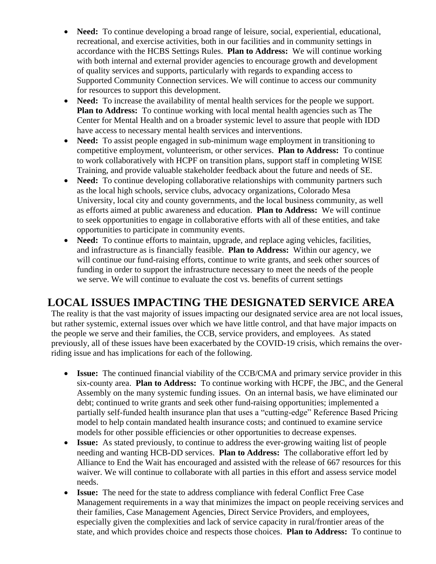- **Need:** To continue developing a broad range of leisure, social, experiential, educational, recreational, and exercise activities, both in our facilities and in community settings in accordance with the HCBS Settings Rules. **Plan to Address:** We will continue working with both internal and external provider agencies to encourage growth and development of quality services and supports, particularly with regards to expanding access to Supported Community Connection services. We will continue to access our community for resources to support this development.
- **Need:** To increase the availability of mental health services for the people we support. **Plan to Address:** To continue working with local mental health agencies such as The Center for Mental Health and on a broader systemic level to assure that people with IDD have access to necessary mental health services and interventions.
- Need: To assist people engaged in sub-minimum wage employment in transitioning to competitive employment, volunteerism, or other services. **Plan to Address:** To continue to work collaboratively with HCPF on transition plans, support staff in completing WISE Training, and provide valuable stakeholder feedback about the future and needs of SE.
- **Need:** To continue developing collaborative relationships with community partners such as the local high schools, service clubs, advocacy organizations, Colorado Mesa University, local city and county governments, and the local business community, as well as efforts aimed at public awareness and education. **Plan to Address:** We will continue to seek opportunities to engage in collaborative efforts with all of these entities, and take opportunities to participate in community events.
- **Need:** To continue efforts to maintain, upgrade, and replace aging vehicles, facilities, and infrastructure as is financially feasible. **Plan to Address:** Within our agency, we will continue our fund-raising efforts, continue to write grants, and seek other sources of funding in order to support the infrastructure necessary to meet the needs of the people we serve. We will continue to evaluate the cost vs. benefits of current settings

#### **LOCAL ISSUES IMPACTING THE DESIGNATED SERVICE AREA**

The reality is that the vast majority of issues impacting our designated service area are not local issues, but rather systemic, external issues over which we have little control, and that have major impacts on the people we serve and their families, the CCB, service providers, and employees. As stated previously, all of these issues have been exacerbated by the COVID-19 crisis, which remains the overriding issue and has implications for each of the following.

- **Issue:** The continued financial viability of the CCB/CMA and primary service provider in this six-county area. **Plan to Address:** To continue working with HCPF, the JBC, and the General Assembly on the many systemic funding issues. On an internal basis, we have eliminated our debt; continued to write grants and seek other fund-raising opportunities; implemented a partially self-funded health insurance plan that uses a "cutting-edge" Reference Based Pricing model to help contain mandated health insurance costs; and continued to examine service models for other possible efficiencies or other opportunities to decrease expenses.
- **Issue:** As stated previously, to continue to address the ever-growing waiting list of people needing and wanting HCB-DD services. **Plan to Address:** The collaborative effort led by Alliance to End the Wait has encouraged and assisted with the release of 667 resources for this waiver. We will continue to collaborate with all parties in this effort and assess service model needs.
- **Issue:** The need for the state to address compliance with federal Conflict Free Case Management requirements in a way that minimizes the impact on people receiving services and their families, Case Management Agencies, Direct Service Providers, and employees, especially given the complexities and lack of service capacity in rural/frontier areas of the state, and which provides choice and respects those choices. **Plan to Address:** To continue to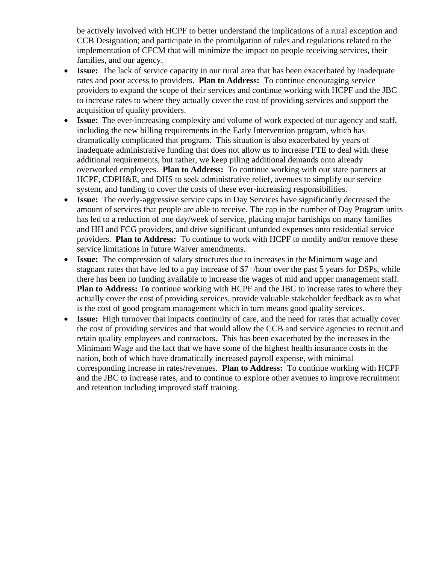be actively involved with HCPF to better understand the implications of a rural exception and CCB Designation; and participate in the promulgation of rules and regulations related to the implementation of CFCM that will minimize the impact on people receiving services, their families, and our agency.

- **Issue:** The lack of service capacity in our rural area that has been exacerbated by inadequate rates and poor access to providers. **Plan to Address:** To continue encouraging service providers to expand the scope of their services and continue working with HCPF and the JBC to increase rates to where they actually cover the cost of providing services and support the acquisition of quality providers.
- **Issue:** The ever-increasing complexity and volume of work expected of our agency and staff, including the new billing requirements in the Early Intervention program, which has dramatically complicated that program. This situation is also exacerbated by years of inadequate administrative funding that does not allow us to increase FTE to deal with these additional requirements, but rather, we keep piling additional demands onto already overworked employees. **Plan to Address:** To continue working with our state partners at HCPF, CDPH&E, and DHS to seek administrative relief, avenues to simplify our service system, and funding to cover the costs of these ever-increasing responsibilities.
- **Issue:** The overly-aggressive service caps in Day Services have significantly decreased the amount of services that people are able to receive. The cap in the number of Day Program units has led to a reduction of one day/week of service, placing major hardships on many families and HH and FCG providers, and drive significant unfunded expenses onto residential service providers. **Plan to Address:** To continue to work with HCPF to modify and/or remove these service limitations in future Waiver amendments.
- **Issue:** The compression of salary structures due to increases in the Minimum wage and stagnant rates that have led to a pay increase of \$7+/hour over the past 5 years for DSPs, while there has been no funding available to increase the wages of mid and upper management staff. **Plan to Address:** T**o** continue working with HCPF and the JBC to increase rates to where they actually cover the cost of providing services, provide valuable stakeholder feedback as to what is the cost of good program management which in turn means good quality services.
- **Issue:** High turnover that impacts continuity of care, and the need for rates that actually cover the cost of providing services and that would allow the CCB and service agencies to recruit and retain quality employees and contractors. This has been exacerbated by the increases in the Minimum Wage and the fact that we have some of the highest health insurance costs in the nation, both of which have dramatically increased payroll expense, with minimal corresponding increase in rates/revenues. **Plan to Address:** To continue working with HCPF and the JBC to increase rates, and to continue to explore other avenues to improve recruitment and retention including improved staff training.